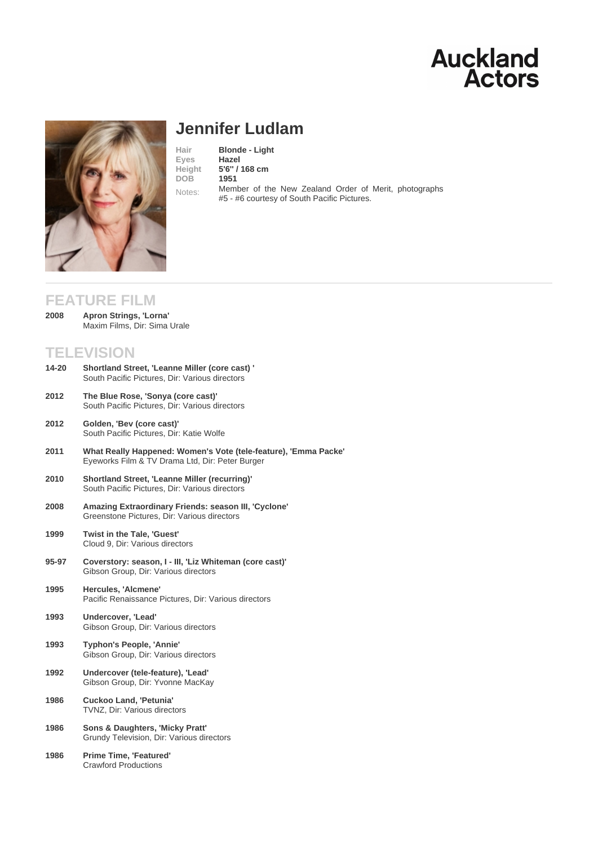# Jennifer Ludlam

Hair **Blonde - Light**<br>Eves **Hazel** Eyes Height [5](/actors/details/jennifer-ludlam)'[6](/actors/details/jennifer-ludlam)'' [/ 168 cm](/actors/details/jennifer-ludlam) DOB 1951 Notes: Member of the New Zealand Order of Merit, photographs #5 - #6 courtesy of South Pacific Pictures.

## FEATURE FILM

Apron Strings, 'Lorna' Maxim Films, Dir: Sima Urale 2008

## TELEVISION

- Shortland Street, 'Leanne Miller (core cast) ' South Pacific Pictures, Dir: Various directors 14-20 The Blue Rose, 'Sonya (core cast)' South Pacific Pictures, Dir: Various directors 2012
- Golden, 'Bev (core cast)' South Pacific Pictures, Dir: Katie Wolfe 2012
- What Really Happened: Women's Vote (tele-feature), 'Emma Packe' Eyeworks Film & TV Drama Ltd, Dir: Peter Burger 2011
- Shortland Street, 'Leanne Miller (recurring)' South Pacific Pictures, Dir: Various directors 2010
- Amazing Extraordinary Friends: season III, 'Cyclone' Greenstone Pictures, Dir: Various directors 2008
- Twist in the Tale, 'Guest' Cloud 9, Dir: Various directors 1999
- Coverstory: season, I III, 'Liz Whiteman (core cast)' Gibson Group, Dir: Various directors 95-97
- Hercules, 'Alcmene' Pacific Renaissance Pictures, Dir: Various directors 1995
- Undercover, 'Lead' Gibson Group, Dir: Various directors 1993
- Typhon's People, 'Annie' Gibson Group, Dir: Various directors 1993
- Undercover (tele-feature), 'Lead' Gibson Group, Dir: Yvonne MacKay 1992
- Cuckoo Land, 'Petunia' TVNZ, Dir: Various directors 1986
- Sons & Daughters, 'Micky Pratt' Grundy Television, Dir: Various directors 1986
- Prime Time, 'Featured' Crawford Productions 1986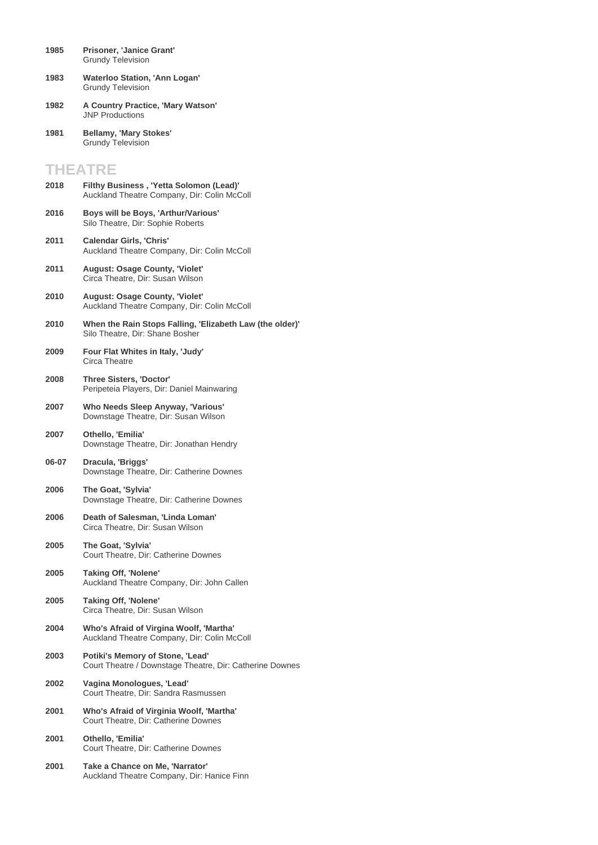- **Prisoner, 'Janice Grant'** Grundy Television **1985**
- **Waterloo Station, 'Ann Logan'** Grundy Television **1983**
- **A Country Practice, 'Mary Watson'** JNP Productions **1982**
- **Bellamy, 'Mary Stokes'** Grundy Television **1981**

### **THEATRE**

- **Filthy Business , 'Yetta Solomon (Lead)'** Auckland Theatre Company, Dir: Colin McColl **2018 Boys will be Boys, 'Arthur/Various'** Silo Theatre, Dir: Sophie Roberts **2016 Calendar Girls, 'Chris'** Auckland Theatre Company, Dir: Colin McColl **2011 August: Osage County, 'Violet'** Circa Theatre, Dir: Susan Wilson **2011 August: Osage County, 'Violet'** Auckland Theatre Company, Dir: Colin McColl **2010 When the Rain Stops Falling, 'Elizabeth Law (the older)'** Silo Theatre, Dir: Shane Bosher **2010 Four Flat Whites in Italy, 'Judy'** Circa Theatre **2009 Three Sisters, 'Doctor'** Peripeteia Players, Dir: Daniel Mainwaring **2008 Who Needs Sleep Anyway, 'Various'** Downstage Theatre, Dir: Susan Wilson **2007 Othello, 'Emilia'** Downstage Theatre, Dir: Jonathan Hendry **2007 Dracula, 'Briggs'** Downstage Theatre, Dir: Catherine Downes **06-07 The Goat, 'Sylvia'** Downstage Theatre, Dir: Catherine Downes **2006 Death of Salesman, 'Linda Loman'** Circa Theatre, Dir: Susan Wilson **2006 The Goat, 'Sylvia'** Court Theatre, Dir: Catherine Downes **2005 Taking Off, 'Nolene'** Auckland Theatre Company, Dir: John Callen **2005 Taking Off, 'Nolene'** Circa Theatre, Dir: Susan Wilson **2005 Who's Afraid of Virgina Woolf, 'Martha'** Auckland Theatre Company, Dir: Colin McColl **2004 Potiki's Memory of Stone, 'Lead'** Court Theatre / Downstage Theatre, Dir: Catherine Downes **2003 Vagina Monologues, 'Lead'** Court Theatre, Dir: Sandra Rasmussen **2002 Who's Afraid of Virginia Woolf, 'Martha'** Court Theatre, Dir: Catherine Downes **2001 Othello, 'Emilia'** Court Theatre, Dir: Catherine Downes **2001**
- **Take a Chance on Me, 'Narrator'** Auckland Theatre Company, Dir: Hanice Finn **2001**